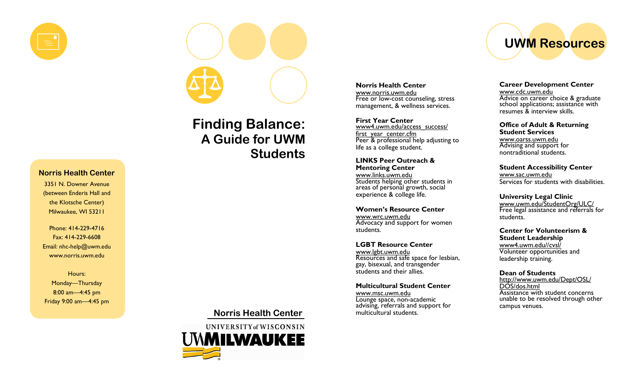

#### Norris Health Center

3351 N. Downer Avenue (between Enderis Hall and the Klotsche Center) Milwaukee, WI 53211

Phone: 414-229-4716 Fax: 414-229-6608 Email: nhc-help@uwm.edu www.norris.uwm.edu

Hours: Monday—Thursday 8:00 am—4:45 pm Friday 9:00 am—4:45 pm

# Finding Balance: A Guide for UWM **Students**

Norris Health Center



UWM Resources

Career Development Center www.cdc.uwm.eduAdvice on career choice & graduate school applications; assistance with resumes & interview skills.

Office of Adult & Returning Student Services

 www.oarss.uwm.edu Advising and support for nontraditional students.

Student Accessibility Center www.sac.uwm.eduServices for students with disabilities.

University Legal Clinic www.uwm.edu/StudentOrg/ULC/Free legal assistance and referrals for students.

Center for Volunteerism & Student Leadership www4.uwm.edu//cvsl/ Volunteer opportunities and leadership training.

Dean of Students http://www.uwm.edu/Dept/OSL/DOS/dos.html Assistance with student concerns unable to be resolved through other campus venues.

#### Advocacy and support for women students.

Women's Resource Center

www.wrc.uwm.edu

Students helping other students in areas of personal growth, social experience & college life.

Norris Health Center www.norris.uwm.edu

First Year Center

first\_year\_center.cfm

life as a college student.

LINKS Peer Outreach & Mentoring Center www.links.uwm.edu

 Free or low-cost counseling, stress management, & wellness services.

www4.uwm.edu/access\_success/

Peer & professional help adjusting to

LGBT Resource Center www.lgbt.uwm.edu<br>Resources and safe space for lesbian, gay, bisexual, and transgender students and their allies.

#### Multicultural Student Center

www.msc.uwm.eduLounge space, non-academic advising, referrals and support for multicultural students.